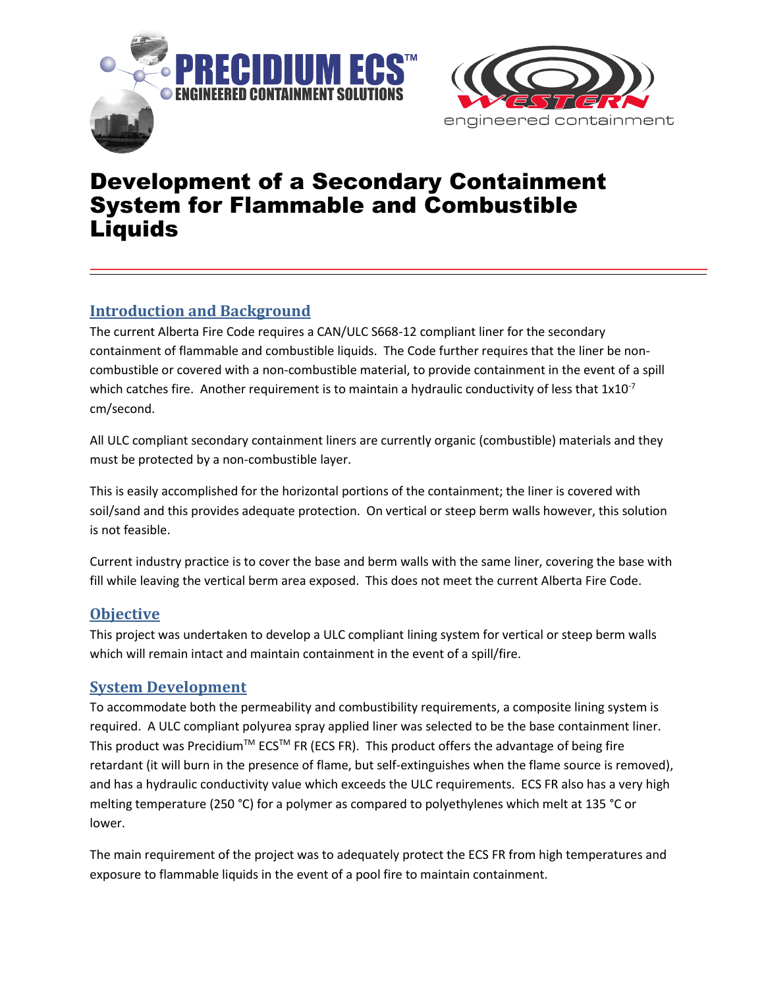



# Development of a Secondary Containment System for Flammable and Combustible Liquids

## **Introduction and Background**

The current Alberta Fire Code requires a CAN/ULC S668-12 compliant liner for the secondary containment of flammable and combustible liquids. The Code further requires that the liner be noncombustible or covered with a non-combustible material, to provide containment in the event of a spill which catches fire. Another requirement is to maintain a hydraulic conductivity of less that  $1x10^{-7}$ cm/second.

All ULC compliant secondary containment liners are currently organic (combustible) materials and they must be protected by a non-combustible layer.

This is easily accomplished for the horizontal portions of the containment; the liner is covered with soil/sand and this provides adequate protection. On vertical or steep berm walls however, this solution is not feasible.

Current industry practice is to cover the base and berm walls with the same liner, covering the base with fill while leaving the vertical berm area exposed. This does not meet the current Alberta Fire Code.

#### **Objective**

This project was undertaken to develop a ULC compliant lining system for vertical or steep berm walls which will remain intact and maintain containment in the event of a spill/fire.

#### **System Development**

To accommodate both the permeability and combustibility requirements, a composite lining system is required. A ULC compliant polyurea spray applied liner was selected to be the base containment liner. This product was Precidium<sup>TM</sup> ECS<sup>TM</sup> FR (ECS FR). This product offers the advantage of being fire retardant (it will burn in the presence of flame, but self-extinguishes when the flame source is removed), and has a hydraulic conductivity value which exceeds the ULC requirements. ECS FR also has a very high melting temperature (250 °C) for a polymer as compared to polyethylenes which melt at 135 °C or lower.

The main requirement of the project was to adequately protect the ECS FR from high temperatures and exposure to flammable liquids in the event of a pool fire to maintain containment.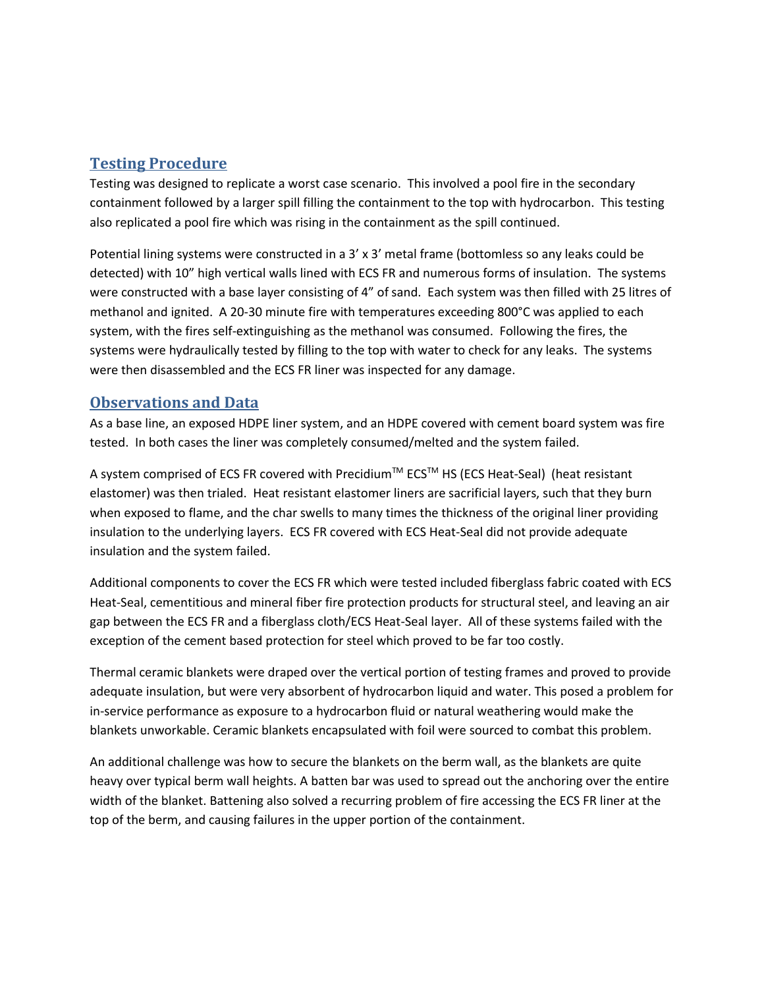#### **Testing Procedure**

Testing was designed to replicate a worst case scenario. This involved a pool fire in the secondary containment followed by a larger spill filling the containment to the top with hydrocarbon. This testing also replicated a pool fire which was rising in the containment as the spill continued.

Potential lining systems were constructed in a 3' x 3' metal frame (bottomless so any leaks could be detected) with 10" high vertical walls lined with ECS FR and numerous forms of insulation. The systems were constructed with a base layer consisting of 4" of sand. Each system was then filled with 25 litres of methanol and ignited. A 20-30 minute fire with temperatures exceeding 800°C was applied to each system, with the fires self-extinguishing as the methanol was consumed. Following the fires, the systems were hydraulically tested by filling to the top with water to check for any leaks. The systems were then disassembled and the ECS FR liner was inspected for any damage.

#### **Observations and Data**

As a base line, an exposed HDPE liner system, and an HDPE covered with cement board system was fire tested. In both cases the liner was completely consumed/melted and the system failed.

A system comprised of ECS FR covered with Precidium™ ECS™ HS (ECS Heat-Seal) (heat resistant elastomer) was then trialed. Heat resistant elastomer liners are sacrificial layers, such that they burn when exposed to flame, and the char swells to many times the thickness of the original liner providing insulation to the underlying layers. ECS FR covered with ECS Heat-Seal did not provide adequate insulation and the system failed.

Additional components to cover the ECS FR which were tested included fiberglass fabric coated with ECS Heat-Seal, cementitious and mineral fiber fire protection products for structural steel, and leaving an air gap between the ECS FR and a fiberglass cloth/ECS Heat-Seal layer. All of these systems failed with the exception of the cement based protection for steel which proved to be far too costly.

Thermal ceramic blankets were draped over the vertical portion of testing frames and proved to provide adequate insulation, but were very absorbent of hydrocarbon liquid and water. This posed a problem for in-service performance as exposure to a hydrocarbon fluid or natural weathering would make the blankets unworkable. Ceramic blankets encapsulated with foil were sourced to combat this problem.

An additional challenge was how to secure the blankets on the berm wall, as the blankets are quite heavy over typical berm wall heights. A batten bar was used to spread out the anchoring over the entire width of the blanket. Battening also solved a recurring problem of fire accessing the ECS FR liner at the top of the berm, and causing failures in the upper portion of the containment.